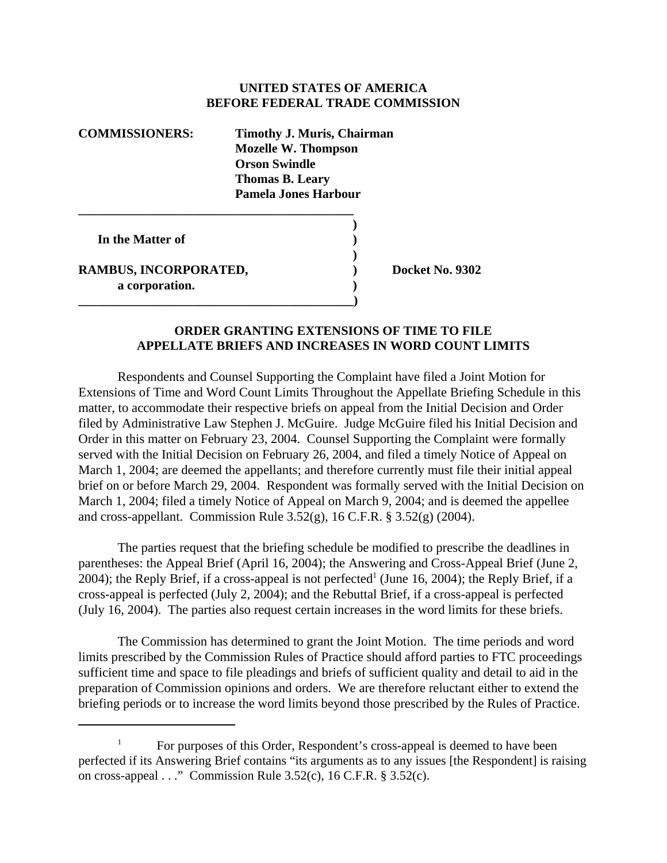## **UNITED STATES OF AMERICA BEFORE FEDERAL TRADE COMMISSION**

| <b>COMMISSIONERS:</b> | <b>Timothy J. Muris, Chairman</b><br><b>Mozelle W. Thompson</b><br><b>Orson Swindle</b> |
|-----------------------|-----------------------------------------------------------------------------------------|
|                       | <b>Thomas B. Leary</b>                                                                  |
|                       | <b>Pamela Jones Harbour</b>                                                             |
|                       |                                                                                         |

**\_\_\_\_\_\_\_\_\_\_\_\_\_\_\_\_\_\_\_\_\_\_\_\_\_\_\_\_\_\_\_\_\_\_\_\_\_\_\_\_\_\_\_)** 

 **In the Matter of )**

RAMBUS, INCORPORATED,  $Docket No. 9302$ **a corporation. )**

## **ORDER GRANTING EXTENSIONS OF TIME TO FILE APPELLATE BRIEFS AND INCREASES IN WORD COUNT LIMITS**

**)**

Respondents and Counsel Supporting the Complaint have filed a Joint Motion for Extensions of Time and Word Count Limits Throughout the Appellate Briefing Schedule in this matter, to accommodate their respective briefs on appeal from the Initial Decision and Order filed by Administrative Law Stephen J. McGuire. Judge McGuire filed his Initial Decision and Order in this matter on February 23, 2004. Counsel Supporting the Complaint were formally served with the Initial Decision on February 26, 2004, and filed a timely Notice of Appeal on March 1, 2004; are deemed the appellants; and therefore currently must file their initial appeal brief on or before March 29, 2004. Respondent was formally served with the Initial Decision on March 1, 2004; filed a timely Notice of Appeal on March 9, 2004; and is deemed the appellee and cross-appellant. Commission Rule  $3.52(g)$ , 16 C.F.R. §  $3.52(g)$  (2004).

The parties request that the briefing schedule be modified to prescribe the deadlines in parentheses: the Appeal Brief (April 16, 2004); the Answering and Cross-Appeal Brief (June 2, 2004); the Reply Brief, if a cross-appeal is not perfected<sup>1</sup> (June 16, 2004); the Reply Brief, if a cross-appeal is perfected (July 2, 2004); and the Rebuttal Brief, if a cross-appeal is perfected (July 16, 2004). The parties also request certain increases in the word limits for these briefs.

The Commission has determined to grant the Joint Motion. The time periods and word limits prescribed by the Commission Rules of Practice should afford parties to FTC proceedings sufficient time and space to file pleadings and briefs of sufficient quality and detail to aid in the preparation of Commission opinions and orders. We are therefore reluctant either to extend the briefing periods or to increase the word limits beyond those prescribed by the Rules of Practice.

<sup>1</sup> For purposes of this Order, Respondent's cross-appeal is deemed to have been perfected if its Answering Brief contains "its arguments as to any issues [the Respondent] is raising on cross-appeal  $\ldots$ " Commission Rule 3.52(c), 16 C.F.R. § 3.52(c).